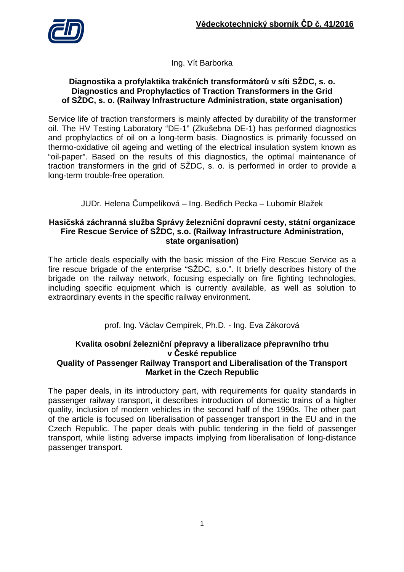

Ing. Vít Barborka

## **Diagnostika a profylaktika trakčních transformátorů v síti SŽDC, s. o. Diagnostics and Prophylactics of Traction Transformers in the Grid of SŽDC, s. o. (Railway Infrastructure Administration, state organisation)**

Service life of traction transformers is mainly affected by durability of the transformer oil. The HV Testing Laboratory "DE-1" (Zkušebna DE-1) has performed diagnostics and prophylactics of oil on a long-term basis. Diagnostics is primarily focussed on thermo-oxidative oil ageing and wetting of the electrical insulation system known as "oil-paper". Based on the results of this diagnostics, the optimal maintenance of traction transformers in the grid of SŽDC, s. o. is performed in order to provide a long-term trouble-free operation.

JUDr. Helena Čumpelíková – Ing. Bedřich Pecka – Lubomír Blažek

### **Hasičská záchranná služba Správy železniční dopravní cesty, státní organizace Fire Rescue Service of SŽDC, s.o. (Railway Infrastructure Administration, state organisation)**

The article deals especially with the basic mission of the Fire Rescue Service as a fire rescue brigade of the enterprise "SŽDC, s.o.". It briefly describes history of the brigade on the railway network, focusing especially on fire fighting technologies, including specific equipment which is currently available, as well as solution to extraordinary events in the specific railway environment.

prof. Ing. Václav Cempírek, Ph.D. - Ing. Eva Zákorová

### **Kvalita osobní železniční přepravy a liberalizace přepravního trhu v České republice Quality of Passenger Railway Transport and Liberalisation of the Transport Market in the Czech Republic**

The paper deals, in its introductory part, with requirements for quality standards in passenger railway transport, it describes introduction of domestic trains of a higher quality, inclusion of modern vehicles in the second half of the 1990s. The other part of the article is focused on liberalisation of passenger transport in the EU and in the Czech Republic. The paper deals with public tendering in the field of passenger transport, while listing adverse impacts implying from liberalisation of long-distance passenger transport.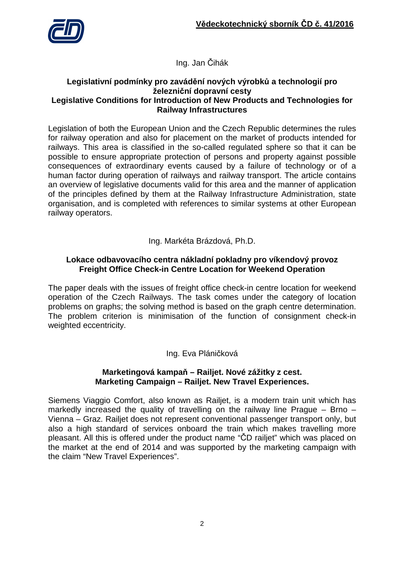

Ing. Jan Čihák

### **Legislativní podmínky pro zavádění nových výrobků a technologií pro železniční dopravní cesty Legislative Conditions for Introduction of New Products and Technologies for Railway Infrastructures**

Legislation of both the European Union and the Czech Republic determines the rules for railway operation and also for placement on the market of products intended for railways. This area is classified in the so-called regulated sphere so that it can be possible to ensure appropriate protection of persons and property against possible consequences of extraordinary events caused by a failure of technology or of a human factor during operation of railways and railway transport. The article contains an overview of legislative documents valid for this area and the manner of application of the principles defined by them at the Railway Infrastructure Administration, state organisation, and is completed with references to similar systems at other European railway operators.

Ing. Markéta Brázdová, Ph.D.

### **Lokace odbavovacího centra nákladní pokladny pro víkendový provoz Freight Office Check-in Centre Location for Weekend Operation**

The paper deals with the issues of freight office check-in centre location for weekend operation of the Czech Railways. The task comes under the category of location problems on graphs; the solving method is based on the graph centre determination. The problem criterion is minimisation of the function of consignment check-in weighted eccentricity.

# Ing. Eva Pláničková

## **Marketingová kampaň – Railjet. Nové zážitky z cest. Marketing Campaign – Railjet. New Travel Experiences.**

Siemens Viaggio Comfort, also known as Railjet, is a modern train unit which has markedly increased the quality of travelling on the railway line Prague  $-$  Brno  $-$ Vienna – Graz. Railjet does not represent conventional passenger transport only, but also a high standard of services onboard the train which makes travelling more pleasant. All this is offered under the product name "ČD railjet" which was placed on the market at the end of 2014 and was supported by the marketing campaign with the claim "New Travel Experiences".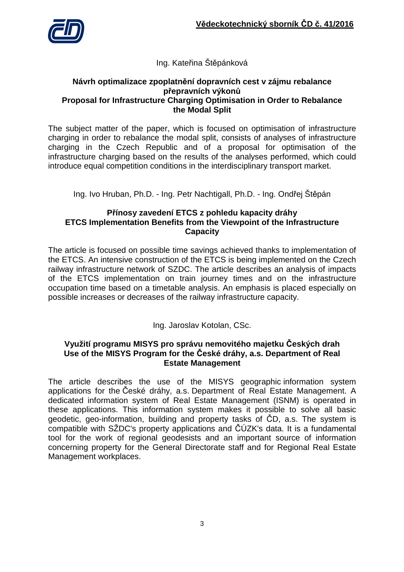

# Ing. Kateřina Štěpánková

### **Návrh optimalizace zpoplatnění dopravních cest v zájmu rebalance přepravních výkonů Proposal for Infrastructure Charging Optimisation in Order to Rebalance the Modal Split**

The subject matter of the paper, which is focused on optimisation of infrastructure charging in order to rebalance the modal split, consists of analyses of infrastructure charging in the Czech Republic and of a proposal for optimisation of the infrastructure charging based on the results of the analyses performed, which could introduce equal competition conditions in the interdisciplinary transport market.

Ing. Ivo Hruban, Ph.D. - Ing. Petr Nachtigall, Ph.D. - Ing. Ondřej Štěpán

# **Přínosy zavedení ETCS z pohledu kapacity dráhy ETCS Implementation Benefits from the Viewpoint of the Infrastructure Capacity**

The article is focused on possible time savings achieved thanks to implementation of the ETCS. An intensive construction of the ETCS is being implemented on the Czech railway infrastructure network of SZDC. The article describes an analysis of impacts of the ETCS implementation on train journey times and on the infrastructure occupation time based on a timetable analysis. An emphasis is placed especially on possible increases or decreases of the railway infrastructure capacity.

Ing. Jaroslav Kotolan, CSc.

## **Využití programu MISYS pro správu nemovitého majetku Českých drah Use of the MISYS Program for the České dráhy, a.s. Department of Real Estate Management**

The article describes the use of the MISYS geographic information system applications for the České dráhy, a.s. Department of Real Estate Management. A dedicated information system of Real Estate Management (ISNM) is operated in these applications. This information system makes it possible to solve all basic geodetic, geo-information, building and property tasks of ČD, a.s. The system is compatible with SŽDC's property applications and ČÚZK's data. It is a fundamental tool for the work of regional geodesists and an important source of information concerning property for the General Directorate staff and for Regional Real Estate Management workplaces.